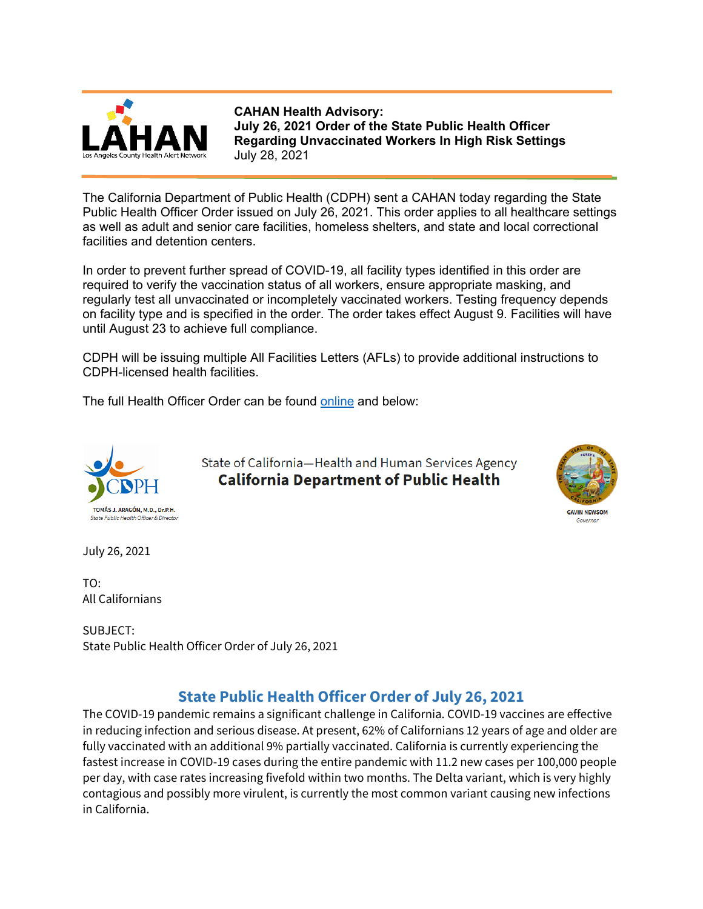

**CAHAN Health Advisory: July 26, 2021 Order of the State Public Health Officer Regarding Unvaccinated Workers In High Risk Settings** July 28, 2021

The California Department of Public Health (CDPH) sent a CAHAN today regarding the State Public Health Officer Order issued on July 26, 2021. This order applies to all healthcare settings as well as adult and senior care facilities, homeless shelters, and state and local correctional facilities and detention centers.

In order to prevent further spread of COVID-19, all facility types identified in this order are required to verify the vaccination status of all workers, ensure appropriate masking, and regularly test all unvaccinated or incompletely vaccinated workers. Testing frequency depends on facility type and is specified in the order. The order takes effect August 9. Facilities will have until August 23 to achieve full compliance.

CDPH will be issuing multiple All Facilities Letters (AFLs) to provide additional instructions to CDPH-licensed health facilities.

The full Health Officer Order can be found [online](https://www.cdph.ca.gov/Programs/CID/DCDC/Pages/COVID-19/Order-of-the-State-Public-Health-Officer-Unvaccinated-Workers-In-High-Risk-Settings.aspx) and below:



State of California-Health and Human Services Agency **California Department of Public Health** 



July 26, 2021

TO: All Californians

SUBJECT: State Public Health Officer Order of July 26, 2021

# **State Public Health Officer Order of July 26, 2021**

The COVID-19 pandemic remains a significant challenge in California. COVID-19 vaccines are effective in reducing infection and serious disease. At present, 62% of Californians 12 years of age and older are fully vaccinated with an additional 9% partially vaccinated. California is currently experiencing the fastest increase in COVID-19 cases during the entire pandemic with 11.2 new cases per 100,000 people per day, with case rates increasing fivefold within two months. The Delta variant, which is very highly contagious and possibly more virulent, is currently the most common variant causing new infections in California.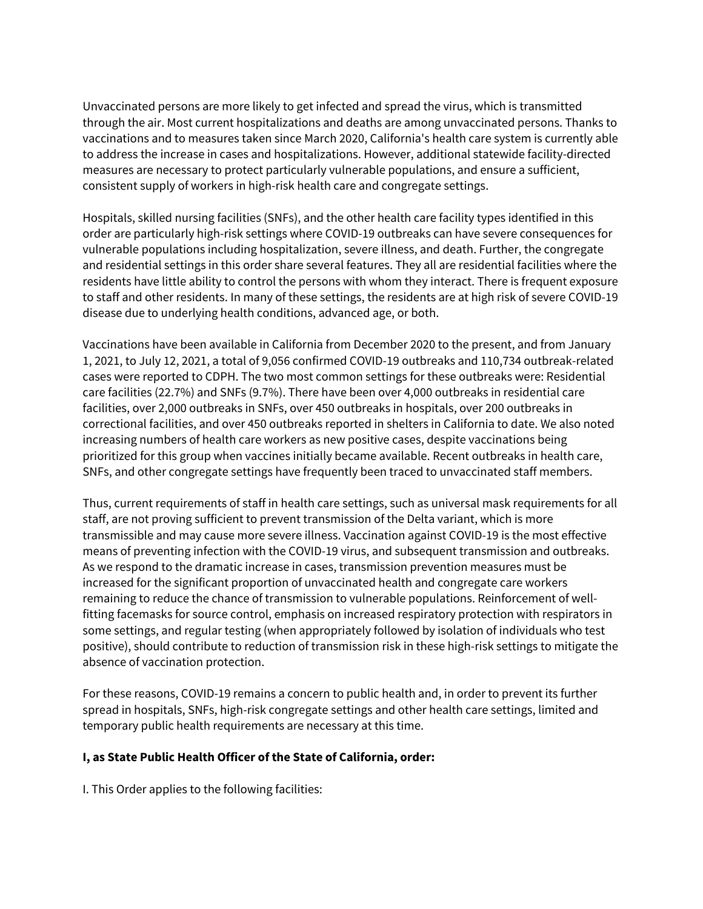Unvaccinated persons are more likely to get infected and spread the virus, which is transmitted through the air. Most current hospitalizations and deaths are among unvaccinated persons. Thanks to vaccinations and to measures taken since March 2020, California's health care system is currently able to address the increase in cases and hospitalizations. However, additional statewide facility-directed measures are necessary to protect particularly vulnerable populations, and ensure a sufficient, consistent supply of workers in high-risk health care and congregate settings.

Hospitals, skilled nursing facilities (SNFs), and the other health care facility types identified in this order are particularly high-risk settings where COVID-19 outbreaks can have severe consequences for vulnerable populations including hospitalization, severe illness, and death. Further, the congregate and residential settings in this order share several features. They all are residential facilities where the residents have little ability to control the persons with whom they interact. There is frequent exposure to staff and other residents. In many of these settings, the residents are at high risk of severe COVID-19 disease due to underlying health conditions, advanced age, or both.

Vaccinations have been available in California from December 2020 to the present, and from January 1, 2021, to July 12, 2021, a total of 9,056 confirmed COVID-19 outbreaks and 110,734 outbreak-related cases were reported to CDPH. The two most common settings for these outbreaks were: Residential care facilities (22.7%) and SNFs (9.7%). There have been over 4,000 outbreaks in residential care facilities, over 2,000 outbreaks in SNFs, over 450 outbreaks in hospitals, over 200 outbreaks in correctional facilities, and over 450 outbreaks reported in shelters in California to date. We also noted increasing numbers of health care workers as new positive cases, despite vaccinations being prioritized for this group when vaccines initially became available. Recent outbreaks in health care, SNFs, and other congregate settings have frequently been traced to unvaccinated staff members.

Thus, current requirements of staff in health care settings, such as universal mask requirements for all staff, are not proving sufficient to prevent transmission of the Delta variant, which is more transmissible and may cause more severe illness. Vaccination against COVID-19 is the most effective means of preventing infection with the COVID-19 virus, and subsequent transmission and outbreaks. As we respond to the dramatic increase in cases, transmission prevention measures must be increased for the significant proportion of unvaccinated health and congregate care workers remaining to reduce the chance of transmission to vulnerable populations. Reinforcement of wellfitting facemasks for source control, emphasis on increased respiratory protection with respirators in some settings, and regular testing (when appropriately followed by isolation of individuals who test positive), should contribute to reduction of transmission risk in these high-risk settings to mitigate the absence of vaccination protection.

For these reasons, COVID-19 remains a concern to public health and, in order to prevent its further spread in hospitals, SNFs, high-risk congregate settings and other health care settings, limited and temporary public health requirements are necessary at this time.

# **I, as State Public Health Officer of the State of California, order:**

I. This Order applies to the following facilities: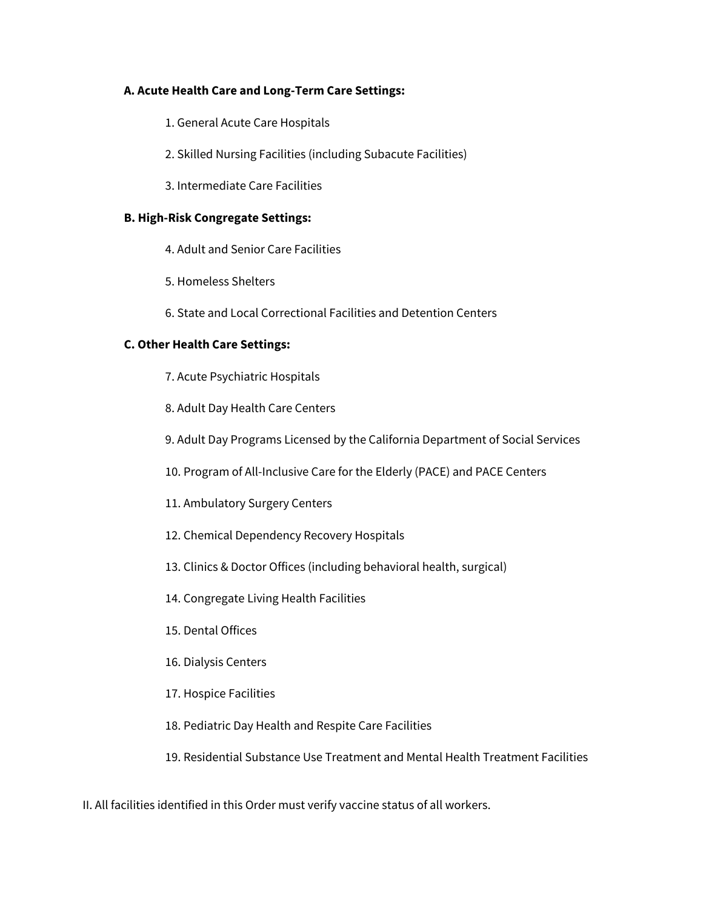# **A. Acute Health Care and Long-Term Care Settings:**

- 1. General Acute Care Hospitals
- 2. Skilled Nursing Facilities (including Subacute Facilities)
- 3. Intermediate Care Facilities

### **B. High-Risk Congregate Settings:**

- 4. Adult and Senior Care Facilities
- 5. Homeless Shelters
- 6. State and Local Correctional Facilities and Detention Centers

### **C. Other Health Care Settings:**

- 7. Acute Psychiatric Hospitals
- 8. Adult Day Health Care Centers
- 9. Adult Day Programs Licensed by the California Department of Social Services
- 10. Program of All-Inclusive Care for the Elderly (PACE) and PACE Centers
- 11. Ambulatory Surgery Centers
- 12. Chemical Dependency Recovery Hospitals
- 13. Clinics & Doctor Offices (including behavioral health, surgical)
- 14. Congregate Living Health Facilities
- 15. Dental Offices
- 16. Dialysis Centers
- 17. Hospice Facilities
- 18. Pediatric Day Health and Respite Care Facilities

# 19. Residential Substance Use Treatment and Mental Health Treatment Facilities

#### II. All facilities identified in this Order must verify vaccine status of all workers.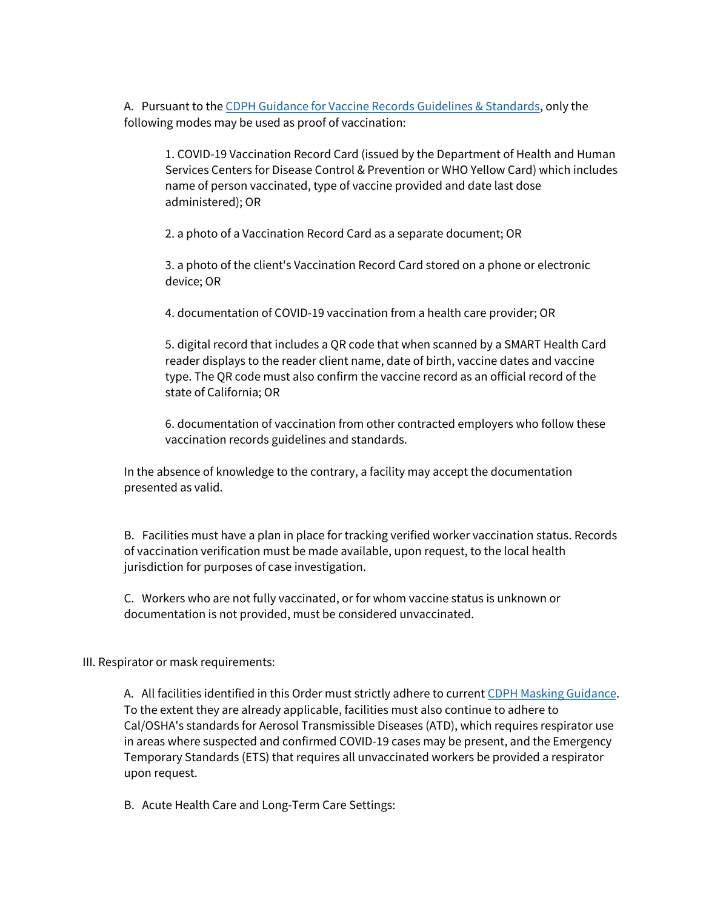A. Pursuant to th[e CDPH Guidance for Vaccine Records Guidelines & Standards,](https://www.cdph.ca.gov/Programs/CID/DCDC/Pages/COVID-19/Vaccine-Record-Guidelines-Standards.aspx) only the following modes may be used as proof of vaccination:

1. COVID-19 Vaccination Record Card (issued by the Department of Health and Human Services Centers for Disease Control & Prevention or WHO Yellow Card) which includes name of person vaccinated, type of vaccine provided and date last dose administered); OR

2. a photo of a Vaccination Record Card as a separate document; OR

3. a photo of the client's Vaccination Record Card stored on a phone or electronic device; OR

4. documentation of COVID-19 vaccination from a health care provider; OR

5. digital record that includes a QR code that when scanned by a SMART Health Card reader displays to the reader client name, date of birth, vaccine dates and vaccine type. The QR code must also confirm the vaccine record as an official record of the state of California; OR

6. documentation of vaccination from other contracted employers who follow these vaccination records guidelines and standards.

In the absence of knowledge to the contrary, a facility may accept the documentation presented as valid.

B. Facilities must have a plan in place for tracking verified worker vaccination status. Records of vaccination verification must be made available, upon request, to the local health jurisdiction for purposes of case investigation.

C. Workers who are not fully vaccinated, or for whom vaccine status is unknown or documentation is not provided, must be considered unvaccinated.

#### III. Respirator or mask requirements:

A. All facilities identified in this Order must strictly adhere to current [CDPH Masking Guidance.](https://www.cdph.ca.gov/Programs/CID/DCDC/Pages/COVID-19/guidance-for-face-coverings.aspx) To the extent they are already applicable, facilities must also continue to adhere to Cal/OSHA's standards for Aerosol Transmissible Diseases (ATD), which requires respirator use in areas where suspected and confirmed COVID-19 cases may be present, and the Emergency Temporary Standards (ETS) that requires all unvaccinated workers be provided a respirator upon request.

B. Acute Health Care and Long-Term Care Settings: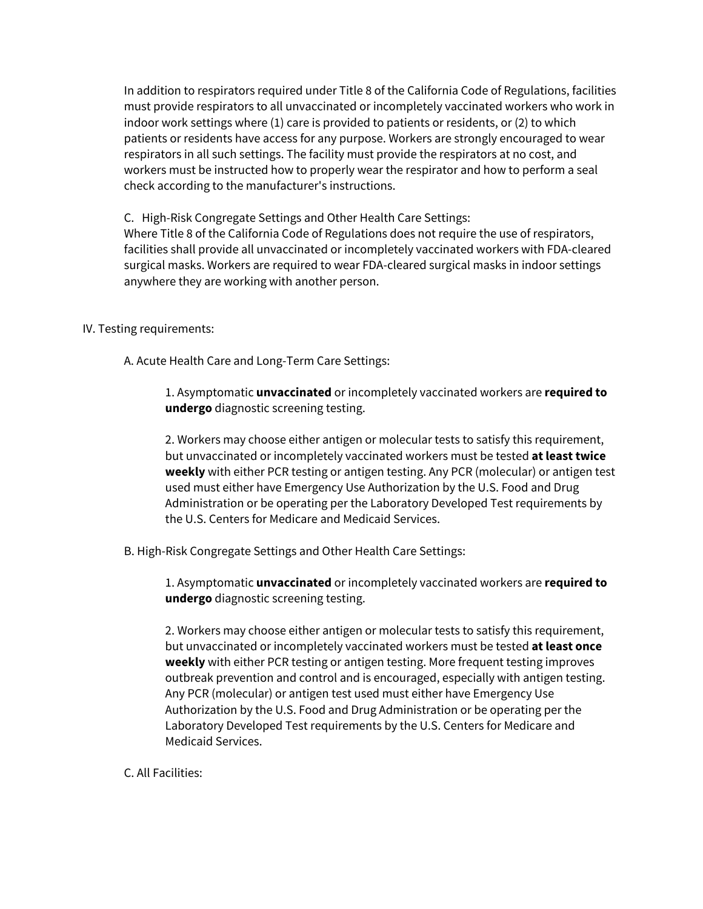In addition to respirators required under Title 8 of the California Code of Regulations, facilities must provide respirators to all unvaccinated or incompletely vaccinated workers who work in indoor work settings where (1) care is provided to patients or residents, or (2) to which patients or residents have access for any purpose. Workers are strongly encouraged to wear respirators in all such settings. The facility must provide the respirators at no cost, and workers must be instructed how to properly wear the respirator and how to perform a seal check according to the manufacturer's instructions.

C. High-Risk Congregate Settings and Other Health Care Settings: Where Title 8 of the California Code of Regulations does not require the use of respirators, facilities shall provide all unvaccinated or incompletely vaccinated workers with FDA-cleared surgical masks. Workers are required to wear FDA-cleared surgical masks in indoor settings anywhere they are working with another person.

#### IV. Testing requirements:

A. Acute Health Care and Long-Term Care Settings:

1. Asymptomatic **unvaccinated** or incompletely vaccinated workers are **required to undergo** diagnostic screening testing.

2. Workers may choose either antigen or molecular tests to satisfy this requirement, but unvaccinated or incompletely vaccinated workers must be tested **at least twice weekly** with either PCR testing or antigen testing. Any PCR (molecular) or antigen test used must either have Emergency Use Authorization by the U.S. Food and Drug Administration or be operating per the Laboratory Developed Test requirements by the U.S. Centers for Medicare and Medicaid Services.

B. High-Risk Congregate Settings and Other Health Care Settings:

1. Asymptomatic **unvaccinated** or incompletely vaccinated workers are **required to undergo** diagnostic screening testing.

2. Workers may choose either antigen or molecular tests to satisfy this requirement, but unvaccinated or incompletely vaccinated workers must be tested **at least once weekly** with either PCR testing or antigen testing. More frequent testing improves outbreak prevention and control and is encouraged, especially with antigen testing. Any PCR (molecular) or antigen test used must either have Emergency Use Authorization by the U.S. Food and Drug Administration or be operating per the Laboratory Developed Test requirements by the U.S. Centers for Medicare and Medicaid Services.

C. All Facilities: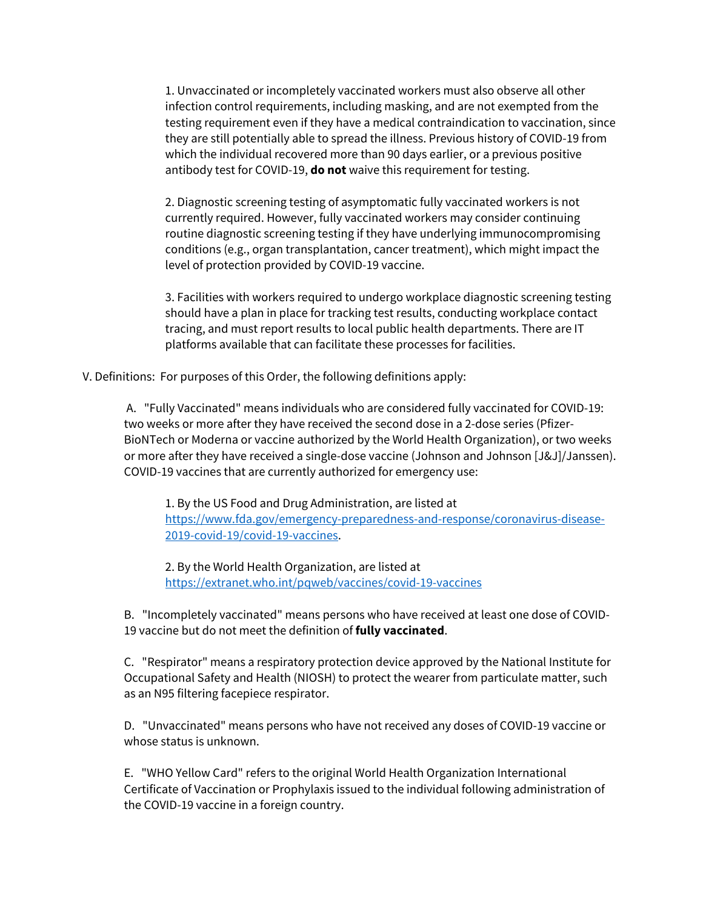1. Unvaccinated or incompletely vaccinated workers must also observe all other infection control requirements, including masking, and are not exempted from the testing requirement even if they have a medical contraindication to vaccination, since they are still potentially able to spread the illness. Previous history of COVID-19 from which the individual recovered more than 90 days earlier, or a previous positive antibody test for COVID-19, **do not** waive this requirement for testing.

2. Diagnostic screening testing of asymptomatic fully vaccinated workers is not currently required. However, fully vaccinated workers may consider continuing routine diagnostic screening testing if they have underlying immunocompromising conditions (e.g., organ transplantation, cancer treatment), which might impact the level of protection provided by COVID-19 vaccine.

3. Facilities with workers required to undergo workplace diagnostic screening testing should have a plan in place for tracking test results, conducting workplace contact tracing, and must report results to local public health departments. There are IT platforms available that can facilitate these processes for facilities.

V. Definitions: For purposes of this Order, the following definitions apply:

A. "Fully Vaccinated" means individuals who are considered fully vaccinated for COVID-19: two weeks or more after they have received the second dose in a 2-dose series (Pfizer-BioNTech or Moderna or vaccine authorized by the World Health Organization), or two weeks or more after they have received a single-dose vaccine (Johnson and Johnson [J&J]/Janssen). COVID-19 vaccines that are currently authorized for emergency use:

1. By the US Food and Drug Administration, are listed at [https://www.fda.gov/emergency-preparedness-and-response/coronavirus-disease-](https://www.fda.gov/emergency-preparedness-and-response/coronavirus-disease-2019-covid-19/covid-19-vaccines)[2019-covid-19/covid-19-vaccines.](https://www.fda.gov/emergency-preparedness-and-response/coronavirus-disease-2019-covid-19/covid-19-vaccines)

2. By the World Health Organization, are listed at <https://extranet.who.int/pqweb/vaccines/covid-19-vaccines>

B. "Incompletely vaccinated" means persons who have received at least one dose of COVID-19 vaccine but do not meet the definition of **fully vaccinated**.

C. "Respirator" means a respiratory protection device approved by the National Institute for Occupational Safety and Health (NIOSH) to protect the wearer from particulate matter, such as an N95 filtering facepiece respirator.

D. "Unvaccinated" means persons who have not received any doses of COVID-19 vaccine or whose status is unknown.

E. "WHO Yellow Card" refers to the original World Health Organization International Certificate of Vaccination or Prophylaxis issued to the individual following administration of the COVID-19 vaccine in a foreign country.